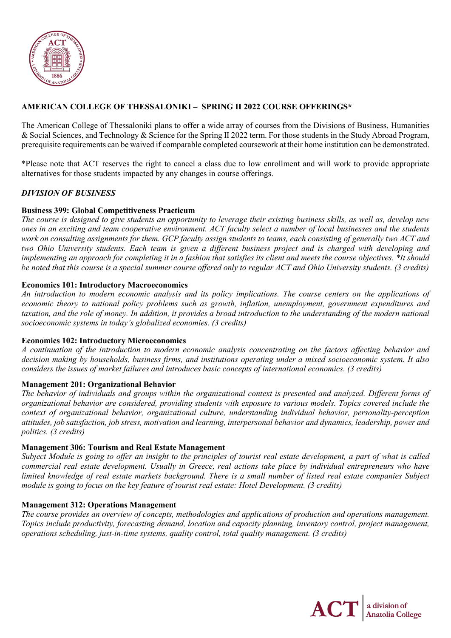

# **AMERICAN COLLEGE OF THESSALONIKI – SPRING II 2022 COURSE OFFERINGS\***

The American College of Thessaloniki plans to offer a wide array of courses from the Divisions of Business, Humanities & Social Sciences, and Technology & Science for the Spring II 2022 term. For those students in the Study Abroad Program, prerequisite requirements can be waived if comparable completed coursework at their home institution can be demonstrated.

\*Please note that ACT reserves the right to cancel a class due to low enrollment and will work to provide appropriate alternatives for those students impacted by any changes in course offerings.

#### *DIVISION OF BUSINESS*

#### **Business 399: Global Competitiveness Practicum**

*The course is designed to give students an opportunity to leverage their existing business skills, as well as, develop new ones in an exciting and team cooperative environment. ACT faculty select a number of local businesses and the students work on consulting assignments for them. GCP faculty assign students to teams, each consisting of generally two ACT and two Ohio University students. Each team is given a different business project and is charged with developing and implementing an approach for completing it in a fashion that satisfies its client and meets the course objectives. \*It should be noted that this course is a special summer course offered only to regular ACT and Ohio University students. (3 credits)*

#### **Economics 101: Introductory Macroeconomics**

*An introduction to modern economic analysis and its policy implications. The course centers on the applications of economic theory to national policy problems such as growth, inflation, unemployment, government expenditures and taxation, and the role of money. In addition, it provides a broad introduction to the understanding of the modern national socioeconomic systems in today's globalized economies. (3 credits)*

#### **Economics 102: Introductory Microeconomics**

*A continuation of the introduction to modern economic analysis concentrating on the factors affecting behavior and decision making by households, business firms, and institutions operating under a mixed socioeconomic system. It also considers the issues of market failures and introduces basic concepts of international economics. (3 credits)*

#### **Management 201: Organizational Behavior**

*The behavior of individuals and groups within the organizational context is presented and analyzed. Different forms of organizational behavior are considered, providing students with exposure to various models. Topics covered include the context of organizational behavior, organizational culture, understanding individual behavior, personality-perception attitudes, job satisfaction, job stress, motivation and learning, interpersonal behavior and dynamics, leadership, power and politics. (3 credits)*

#### **Management 306: Tourism and Real Estate Management**

*Subject Module is going to offer an insight to the principles of tourist real estate development, a part of what is called commercial real estate development. Usually in Greece, real actions take place by individual entrepreneurs who have limited knowledge of real estate markets background. There is a small number of listed real estate companies Subject module is going to focus on the key feature of tourist real estate: Hotel Development. (3 credits)*

## **Management 312: Operations Management**

*The course provides an overview of concepts, methodologies and applications of production and operations management. Topics include productivity, forecasting demand, location and capacity planning, inventory control, project management, operations scheduling, just-in-time systems, quality control, total quality management. (3 credits)* 

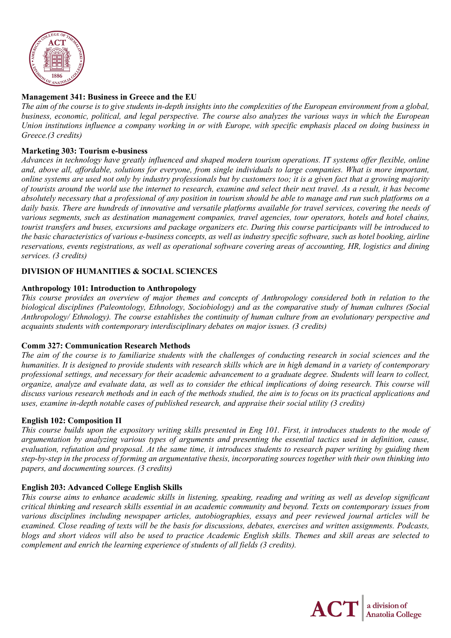

## **Management 341: Business in Greece and the EU**

*The aim of the course is to give students in-depth insights into the complexities of the European environment from a global, business, economic, political, and legal perspective. The course also analyzes the various ways in which the European Union institutions influence a company working in or with Europe, with specific emphasis placed on doing business in Greece.(3 credits)*

## **Marketing 303: Tourism e-business**

*Advances in technology have greatly influenced and shaped modern tourism operations. IT systems offer flexible, online and, above all, affordable, solutions for everyone, from single individuals to large companies. What is more important, online systems are used not only by industry professionals but by customers too; it is a given fact that a growing majority of tourists around the world use the internet to research, examine and select their next travel. As a result, it has become absolutely necessary that a professional of any position in tourism should be able to manage and run such platforms on a*  daily basis. There are hundreds of innovative and versatile platforms available for travel services, covering the needs of *various segments, such as destination management companies, travel agencies, tour operators, hotels and hotel chains, tourist transfers and buses, excursions and package organizers etc. During this course participants will be introduced to the basic characteristics of various e-business concepts, as well as industry specific software, such as hotel booking, airline reservations, events registrations, as well as operational software covering areas of accounting, HR, logistics and dining services. (3 credits)*

## **DIVISION OF HUMANITIES & SOCIAL SCIENCES**

#### **Anthropology 101: Introduction to Anthropology**

*This course provides an overview of major themes and concepts of Anthropology considered both in relation to the biological disciplines (Paleontology, Ethnology, Sociobiology) and as the comparative study of human cultures (Social Anthropology/ Ethnology). The course establishes the continuity of human culture from an evolutionary perspective and acquaints students with contemporary interdisciplinary debates on major issues. (3 credits)*

#### **Comm 327: Communication Research Methods**

*The aim of the course is to familiarize students with the challenges of conducting research in social sciences and the humanities. It is designed to provide students with research skills which are in high demand in a variety of contemporary professional settings, and necessary for their academic advancement to a graduate degree. Students will learn to collect, organize, analyze and evaluate data, as well as to consider the ethical implications of doing research. This course will discuss various research methods and in each of the methods studied, the aim is to focus on its practical applications and uses, examine in-depth notable cases of published research, and appraise their social utility (3 credits)*

#### **English 102: Composition II**

*This course builds upon the expository writing skills presented in Eng 101. First, it introduces students to the mode of argumentation by analyzing various types of arguments and presenting the essential tactics used in definition, cause, evaluation, refutation and proposal. At the same time, it introduces students to research paper writing by guiding them step-by-step in the process of forming an argumentative thesis, incorporating sources together with their own thinking into papers, and documenting sources. (3 credits)*

## **English 203: Advanced College English Skills**

*This course aims to enhance academic skills in listening, speaking, reading and writing as well as develop significant critical thinking and research skills essential in an academic community and beyond. Texts on contemporary issues from various disciplines including newspaper articles, autobiographies, essays and peer reviewed journal articles will be examined. Close reading of texts will be the basis for discussions, debates, exercises and written assignments. Podcasts, blogs and short videos will also be used to practice Academic English skills. Themes and skill areas are selected to complement and enrich the learning experience of students of all fields (3 credits).*

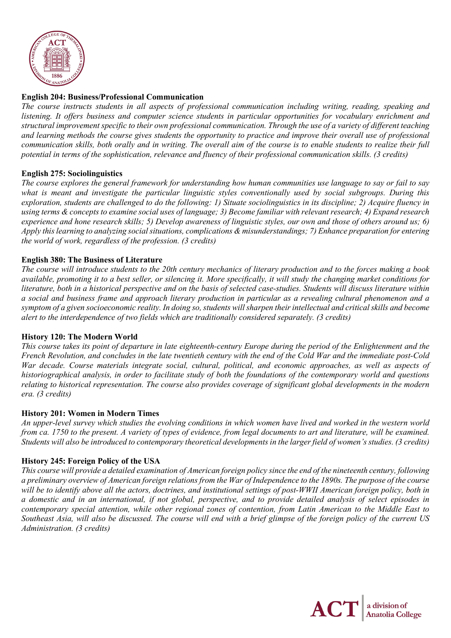

## **English 204: Business/Professional Communication**

*The course instructs students in all aspects of professional communication including writing, reading, speaking and listening. It offers business and computer science students in particular opportunities for vocabulary enrichment and structural improvement specific to their own professional communication. Through the use of a variety of different teaching and learning methods the course gives students the opportunity to practice and improve their overall use of professional communication skills, both orally and in writing. The overall aim of the course is to enable students to realize their full potential in terms of the sophistication, relevance and fluency of their professional communication skills. (3 credits)*

## **English 275: Sociolinguistics**

*The course explores the general framework for understanding how human communities use language to say or fail to say what is meant and investigate the particular linguistic styles conventionally used by social subgroups. During this exploration, students are challenged to do the following: 1) Situate sociolinguistics in its discipline; 2) Acquire fluency in using terms & concepts to examine social uses of language; 3) Become familiar with relevant research; 4) Expand research experience and hone research skills; 5) Develop awareness of linguistic styles, our own and those of others around us; 6) Apply this learning to analyzing social situations, complications & misunderstandings; 7) Enhance preparation for entering the world of work, regardless of the profession. (3 credits)*

## **English 380: The Business of Literature**

*The course will introduce students to the 20th century mechanics of literary production and to the forces making a book available, promoting it to a best seller, or silencing it. More specifically, it will study the changing market conditions for literature, both in a historical perspective and on the basis of selected case-studies. Students will discuss literature within a social and business frame and approach literary production in particular as a revealing cultural phenomenon and a symptom of a given socioeconomic reality. In doing so, students will sharpen their intellectual and critical skills and become alert to the interdependence of two fields which are traditionally considered separately. (3 credits)*

## **History 120: The Modern World**

*This course takes its point of departure in late eighteenth-century Europe during the period of the Enlightenment and the French Revolution, and concludes in the late twentieth century with the end of the Cold War and the immediate post-Cold War decade. Course materials integrate social, cultural, political, and economic approaches, as well as aspects of historiographical analysis, in order to facilitate study of both the foundations of the contemporary world and questions relating to historical representation. The course also provides coverage of significant global developments in the modern era. (3 credits)*

## **History 201: Women in Modern Times**

*An upper-level survey which studies the evolving conditions in which women have lived and worked in the western world from ca. 1750 to the present. A variety of types of evidence, from legal documents to art and literature, will be examined. Students will also be introduced to contemporary theoretical developments in the larger field of women's studies. (3 credits)*

## **History 245: Foreign Policy of the USA**

*This course will provide a detailed examination of American foreign policy since the end of the nineteenth century, following a preliminary overview of American foreign relations from the War of Independence to the 1890s. The purpose of the course will be to identify above all the actors, doctrines, and institutional settings of post-WWII American foreign policy, both in a domestic and in an international, if not global, perspective, and to provide detailed analysis of select episodes in contemporary special attention, while other regional zones of contention, from Latin American to the Middle East to Southeast Asia, will also be discussed. The course will end with a brief glimpse of the foreign policy of the current US Administration. (3 credits)*

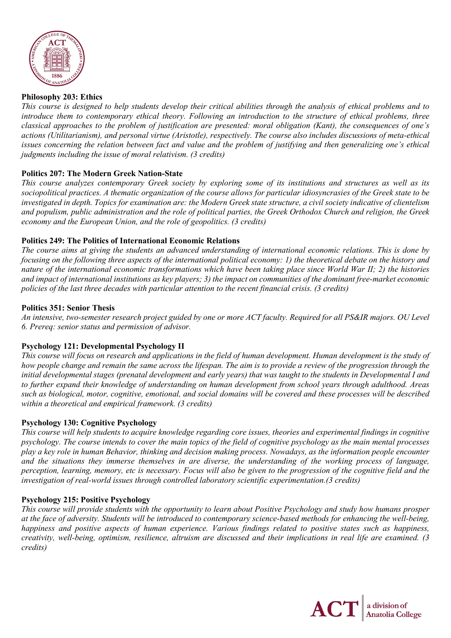

## **Philosophy 203: Ethics**

*This course is designed to help students develop their critical abilities through the analysis of ethical problems and to introduce them to contemporary ethical theory. Following an introduction to the structure of ethical problems, three classical approaches to the problem of justification are presented: moral obligation (Kant), the consequences of one's actions (Utilitarianism), and personal virtue (Aristotle), respectively. The course also includes discussions of meta-ethical issues concerning the relation between fact and value and the problem of justifying and then generalizing one's ethical judgments including the issue of moral relativism. (3 credits)*

## **Politics 207: The Modern Greek Nation-State**

*This course analyzes contemporary Greek society by exploring some of its institutions and structures as well as its sociopolitical practices. A thematic organization of the course allows for particular idiosyncrasies of the Greek state to be investigated in depth. Topics for examination are: the Modern Greek state structure, a civil society indicative of clientelism and populism, public administration and the role of political parties, the Greek Orthodox Church and religion, the Greek economy and the European Union, and the role of geopolitics. (3 credits)*

#### **Politics 249: The Politics of International Economic Relations**

*The course aims at giving the students an advanced understanding of international economic relations. This is done by focusing on the following three aspects of the international political economy: 1) the theoretical debate on the history and nature of the international economic transformations which have been taking place since World War II; 2) the histories and impact of international institutions as key players; 3) the impact on communities of the dominant free-market economic policies of the last three decades with particular attention to the recent financial crisis. (3 credits)*

#### **Politics 351: Senior Thesis**

*An intensive, two-semester research project guided by one or more ACT faculty. Required for all PS&IR majors. OU Level 6. Prereq: senior status and permission of advisor.*

## **Psychology 121: Developmental Psychology II**

*This course will focus on research and applications in the field of human development. Human development is the study of how people change and remain the same across the lifespan. The aim is to provide a review of the progression through the initial developmental stages (prenatal development and early years) that was taught to the students in Developmental I and to further expand their knowledge of understanding on human development from school years through adulthood. Areas such as biological, motor, cognitive, emotional, and social domains will be covered and these processes will be described within a theoretical and empirical framework. (3 credits)*

#### **Psychology 130: Cognitive Psychology**

*This course will help students to acquire knowledge regarding core issues, theories and experimental findings in cognitive psychology. The course intends to cover the main topics of the field of cognitive psychology as the main mental processes play a key role in human Behavior, thinking and decision making process. Nowadays, as the information people encounter and the situations they immerse themselves in are diverse, the understanding of the working process of language, perception, learning, memory, etc is necessary. Focus will also be given to the progression of the cognitive field and the investigation of real-world issues through controlled laboratory scientific experimentation.(3 credits)*

#### **Psychology 215: Positive Psychology**

*This course will provide students with the opportunity to learn about Positive Psychology and study how humans prosper at the face of adversity. Students will be introduced to contemporary science-based methods for enhancing the well-being, happiness and positive aspects of human experience. Various findings related to positive states such as happiness, creativity, well-being, optimism, resilience, altruism are discussed and their implications in real life are examined. (3 credits)*

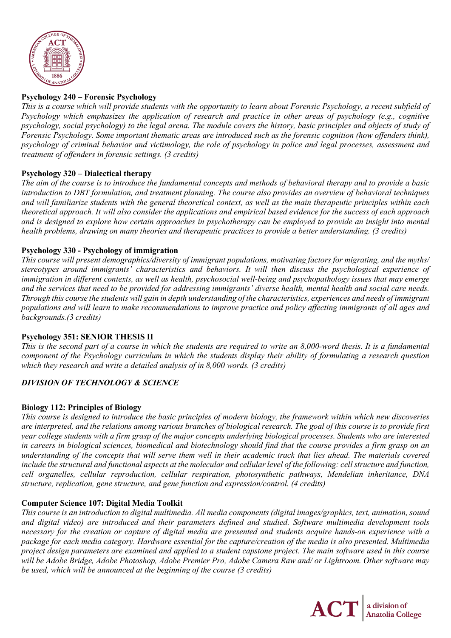

## **Psychology 240 – Forensic Psychology**

*This is a course which will provide students with the opportunity to learn about Forensic Psychology, a recent subfield of Psychology which emphasizes the application of research and practice in other areas of psychology (e.g., cognitive psychology, social psychology) to the legal arena. The module covers the history, basic principles and objects of study of Forensic Psychology. Some important thematic areas are introduced such as the forensic cognition (how offenders think), psychology of criminal behavior and victimology, the role of psychology in police and legal processes, assessment and treatment of offenders in forensic settings. (3 credits)*

## **Psychology 320 – Dialectical therapy**

*The aim of the course is to introduce the fundamental concepts and methods of behavioral therapy and to provide a basic introduction to DBT formulation, and treatment planning. The course also provides an overview of behavioral techniques and will familiarize students with the general theoretical context, as well as the main therapeutic principles within each theoretical approach. It will also consider the applications and empirical based evidence for the success of each approach and is designed to explore how certain approaches in psychotherapy can be employed to provide an insight into mental health problems, drawing on many theories and therapeutic practices to provide a better understanding. (3 credits)*

# **Psychology 330 - Psychology of immigration**

*This course will present demographics/diversity of immigrant populations, motivating factors for migrating, and the myths/ stereotypes around immigrants' characteristics and behaviors. It will then discuss the psychological experience of immigration in different contexts, as well as health, psychosocial well-being and psychopathology issues that may emerge and the services that need to be provided for addressing immigrants' diverse health, mental health and social care needs. Through this course the students will gain in depth understanding of the characteristics, experiences and needs of immigrant populations and will learn to make recommendations to improve practice and policy affecting immigrants of all ages and backgrounds.(3 credits)*

## **Psychology 351: SENIOR THESIS II**

*This is the second part of a course in which the students are required to write an 8,000-word thesis. It is a fundamental component of the Psychology curriculum in which the students display their ability of formulating a research question which they research and write a detailed analysis of in 8,000 words. (3 credits)*

# *DIVISION OF TECHNOLOGY & SCIENCE*

## **Biology 112: Principles of Biology**

*This course is designed to introduce the basic principles of modern biology, the framework within which new discoveries are interpreted, and the relations among various branches of biological research. The goal of this course is to provide first year college students with a firm grasp of the major concepts underlying biological processes. Students who are interested in careers in biological sciences, biomedical and biotechnology should find that the course provides a firm grasp on an understanding of the concepts that will serve them well in their academic track that lies ahead. The materials covered include the structural and functional aspects at the molecular and cellular level of the following: cell structure and function, cell organelles, cellular reproduction, cellular respiration, photosynthetic pathways, Mendelian inheritance, DNA structure, replication, gene structure, and gene function and expression/control. (4 credits)*

## **Computer Science 107: Digital Media Toolkit**

*This course is an introduction to digital multimedia. All media components (digital images/graphics, text, animation, sound and digital video) are introduced and their parameters defined and studied. Software multimedia development tools necessary for the creation or capture of digital media are presented and students acquire hands-on experience with a package for each media category. Hardware essential for the capture/creation of the media is also presented. Multimedia project design parameters are examined and applied to a student capstone project. The main software used in this course will be Adobe Bridge, Adobe Photoshop, Adobe Premier Pro, Adobe Camera Raw and/ or Lightroom. Other software may be used, which will be announced at the beginning of the course (3 credits)*

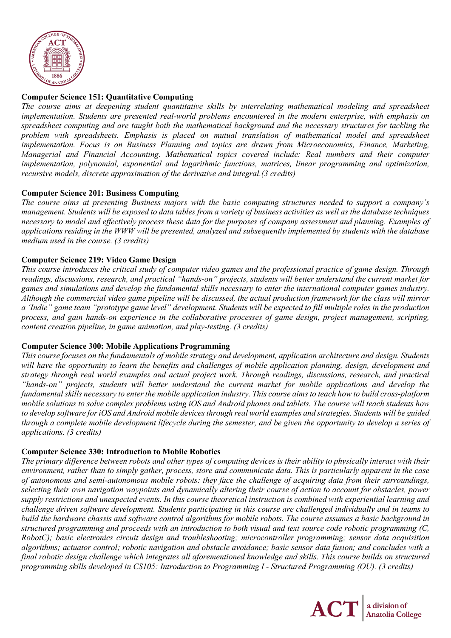

# **Computer Science 151: Quantitative Computing**

*The course aims at deepening student quantitative skills by interrelating mathematical modeling and spreadsheet implementation. Students are presented real-world problems encountered in the modern enterprise, with emphasis on spreadsheet computing and are taught both the mathematical background and the necessary structures for tackling the problem with spreadsheets. Emphasis is placed on mutual translation of mathematical model and spreadsheet implementation. Focus is on Business Planning and topics are drawn from Microeconomics, Finance, Marketing, Managerial and Financial Accounting. Mathematical topics covered include: Real numbers and their computer implementation, polynomial, exponential and logarithmic functions, matrices, linear programming and optimization, recursive models, discrete approximation of the derivative and integral.(3 credits)*

## **Computer Science 201: Business Computing**

*The course aims at presenting Business majors with the basic computing structures needed to support a company's management. Students will be exposed to data tables from a variety of business activities as well as the database techniques necessary to model and effectively process these data for the purposes of company assessment and planning. Examples of applications residing in the WWW will be presented, analyzed and subsequently implemented by students with the database medium used in the course. (3 credits)*

# **Computer Science 219: Video Game Design**

*This course introduces the critical study of computer video games and the professional practice of game design. Through readings, discussions, research, and practical "hands-on" projects, students will better understand the current market for games and simulations and develop the fundamental skills necessary to enter the international computer games industry. Although the commercial video game pipeline will be discussed, the actual production framework for the class will mirror a 'Indie" game team "prototype game level" development. Students will be expected to fill multiple roles in the production process, and gain hands-on experience in the collaborative processes of game design, project management, scripting, content creation pipeline, in game animation, and play-testing. (3 credits)* 

## **Computer Science 300: Mobile Applications Programming**

*This course focuses on the fundamentals of mobile strategy and development, application architecture and design. Students will have the opportunity to learn the benefits and challenges of mobile application planning, design, development and strategy through real world examples and actual project work. Through readings, discussions, research, and practical "hands-on" projects, students will better understand the current market for mobile applications and develop the fundamental skills necessary to enter the mobile application industry. This course aims to teach how to build cross-platform mobile solutions to solve complex problems using iOS and Android phones and tablets. The course will teach students how to develop software for iOS and Android mobile devices through real world examples and strategies. Students will be guided through a complete mobile development lifecycle during the semester, and be given the opportunity to develop a series of applications. (3 credits)*

## **Computer Science 330: Introduction to Mobile Robotics**

*The primary difference between robots and other types of computing devices is their ability to physically interact with their environment, rather than to simply gather, process, store and communicate data. This is particularly apparent in the case of autonomous and semi-autonomous mobile robots: they face the challenge of acquiring data from their surroundings, selecting their own navigation waypoints and dynamically altering their course of action to account for obstacles, power supply restrictions and unexpected events. In this course theoretical instruction is combined with experiential learning and challenge driven software development. Students participating in this course are challenged individually and in teams to build the hardware chassis and software control algorithms for mobile robots. The course assumes a basic background in structured programming and proceeds with an introduction to both visual and text source code robotic programming (C, RobotC); basic electronics circuit design and troubleshooting; microcontroller programming; sensor data acquisition algorithms; actuator control; robotic navigation and obstacle avoidance; basic sensor data fusion; and concludes with a final robotic design challenge which integrates all aforementioned knowledge and skills. This course builds on structured programming skills developed in CS105: Introduction to Programming I - Structured Programming (OU). (3 credits)*

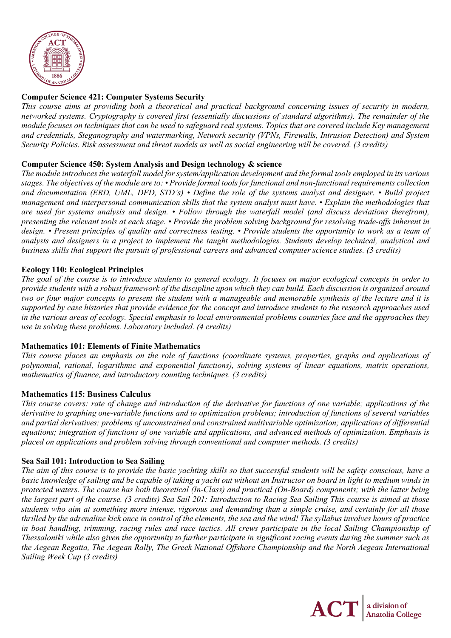

# **Computer Science 421: Computer Systems Security**

*This course aims at providing both a theoretical and practical background concerning issues of security in modern, networked systems. Cryptography is covered first (essentially discussions of standard algorithms). The remainder of the module focuses on techniques that can be used to safeguard real systems. Topics that are covered include Key management and credentials, Steganography and watermarking, Network security (VPNs, Firewalls, Intrusion Detection) and System Security Policies. Risk assessment and threat models as well as social engineering will be covered. (3 credits)*

## **Computer Science 450: System Analysis and Design technology & science**

*The module introduces the waterfall model for system/application development and the formal tools employed in its various stages. The objectives of the module are to: • Provide formal tools for functional and non-functional requirements collection and documentation (ERD, UML, DFD, STD's) • Define the role of the systems analyst and designer. • Build project management and interpersonal communication skills that the system analyst must have. • Explain the methodologies that are used for systems analysis and design. • Follow through the waterfall model (and discuss deviations therefrom), presenting the relevant tools at each stage. • Provide the problem solving background for resolving trade-offs inherent in design. • Present principles of quality and correctness testing. • Provide students the opportunity to work as a team of analysts and designers in a project to implement the taught methodologies. Students develop technical, analytical and business skills that support the pursuit of professional careers and advanced computer science studies. (3 credits)*

# **Ecology 110: Ecological Principles**

*The goal of the course is to introduce students to general ecology. It focuses on major ecological concepts in order to provide students with a robust framework of the discipline upon which they can build. Each discussion is organized around two or four major concepts to present the student with a manageable and memorable synthesis of the lecture and it is supported by case histories that provide evidence for the concept and introduce students to the research approaches used in the various areas of ecology. Special emphasis to local environmental problems countries face and the approaches they use in solving these problems. Laboratory included. (4 credits)*

## **Mathematics 101: Elements of Finite Mathematics**

*This course places an emphasis on the role of functions (coordinate systems, properties, graphs and applications of polynomial, rational, logarithmic and exponential functions), solving systems of linear equations, matrix operations, mathematics of finance, and introductory counting techniques. (3 credits)*

## **Mathematics 115: Business Calculus**

*This course covers: rate of change and introduction of the derivative for functions of one variable; applications of the derivative to graphing one-variable functions and to optimization problems; introduction of functions of several variables and partial derivatives; problems of unconstrained and constrained multivariable optimization; applications of differential equations; integration of functions of one variable and applications, and advanced methods of optimization. Emphasis is placed on applications and problem solving through conventional and computer methods. (3 credits)*

## **Sea Sail 101: Introduction to Sea Sailing**

*The aim of this course is to provide the basic yachting skills so that successful students will be safety conscious, have a basic knowledge of sailing and be capable of taking a yacht out without an Instructor on board in light to medium winds in protected waters. The course has both theoretical (In-Class) and practical (On-Board) components; with the latter being the largest part of the course. (3 credits) Sea Sail 201: Introduction to Racing Sea Sailing This course is aimed at those students who aim at something more intense, vigorous and demanding than a simple cruise, and certainly for all those thrilled by the adrenaline kick once in control of the elements, the sea and the wind! The syllabus involves hours of practice in boat handling, trimming, racing rules and race tactics. All crews participate in the local Sailing Championship of Thessaloniki while also given the opportunity to further participate in significant racing events during the summer such as the Aegean Regatta, The Aegean Rally, The Greek National Offshore Championship and the North Aegean International Sailing Week Cup (3 credits)*